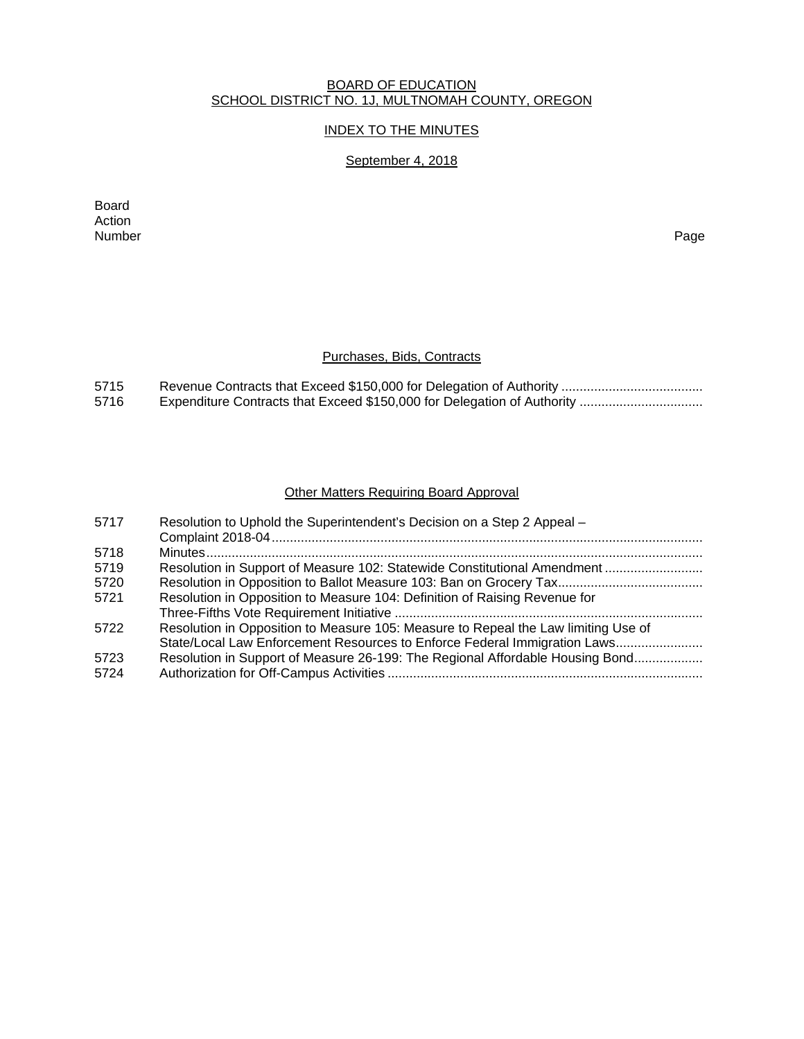### BOARD OF EDUCATION SCHOOL DISTRICT NO. 1J, MULTNOMAH COUNTY, OREGON

## INDEX TO THE MINUTES

## September 4, 2018

Board Action<br>Number Number Page

## Purchases, Bids, Contracts

| 5715 |  |
|------|--|
| 5716 |  |

## Other Matters Requiring Board Approval

| 5717 | Resolution to Uphold the Superintendent's Decision on a Step 2 Appeal -            |
|------|------------------------------------------------------------------------------------|
| 5718 |                                                                                    |
|      |                                                                                    |
| 5719 | Resolution in Support of Measure 102: Statewide Constitutional Amendment           |
| 5720 |                                                                                    |
| 5721 | Resolution in Opposition to Measure 104: Definition of Raising Revenue for         |
|      |                                                                                    |
| 5722 | Resolution in Opposition to Measure 105: Measure to Repeal the Law limiting Use of |
|      | State/Local Law Enforcement Resources to Enforce Federal Immigration Laws          |
| 5723 | Resolution in Support of Measure 26-199: The Regional Affordable Housing Bond      |
| 5724 |                                                                                    |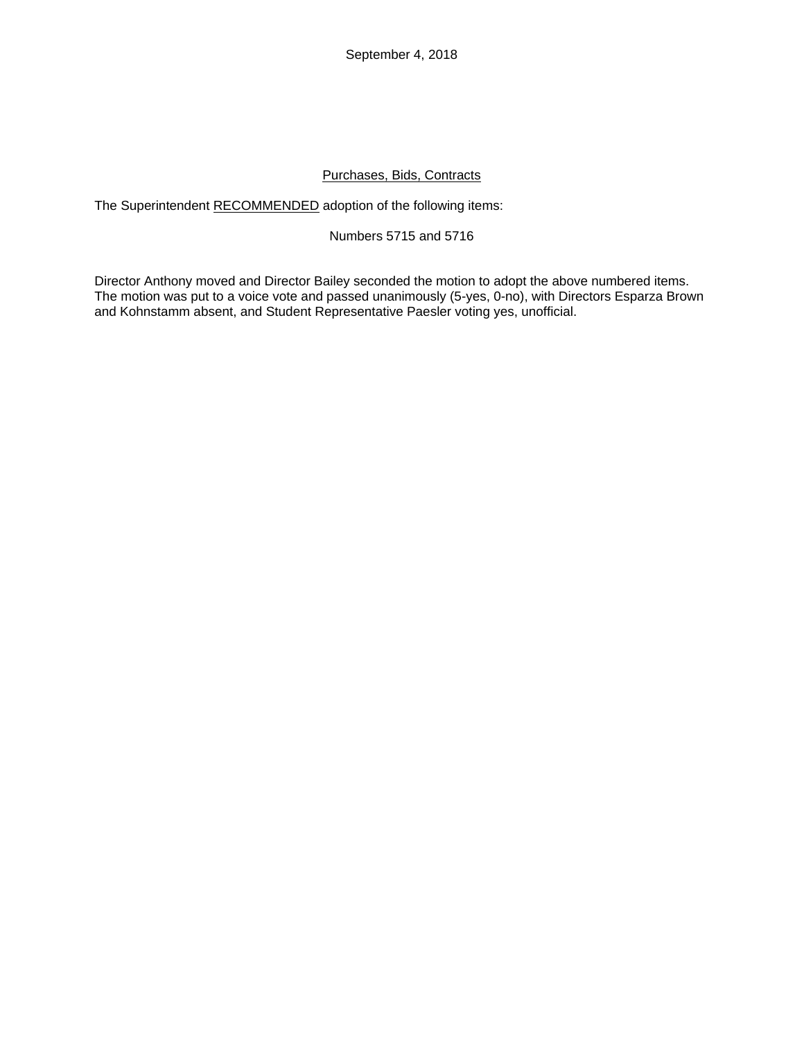September 4, 2018

### Purchases, Bids, Contracts

The Superintendent RECOMMENDED adoption of the following items:

### Numbers 5715 and 5716

Director Anthony moved and Director Bailey seconded the motion to adopt the above numbered items. The motion was put to a voice vote and passed unanimously (5-yes, 0-no), with Directors Esparza Brown and Kohnstamm absent, and Student Representative Paesler voting yes, unofficial.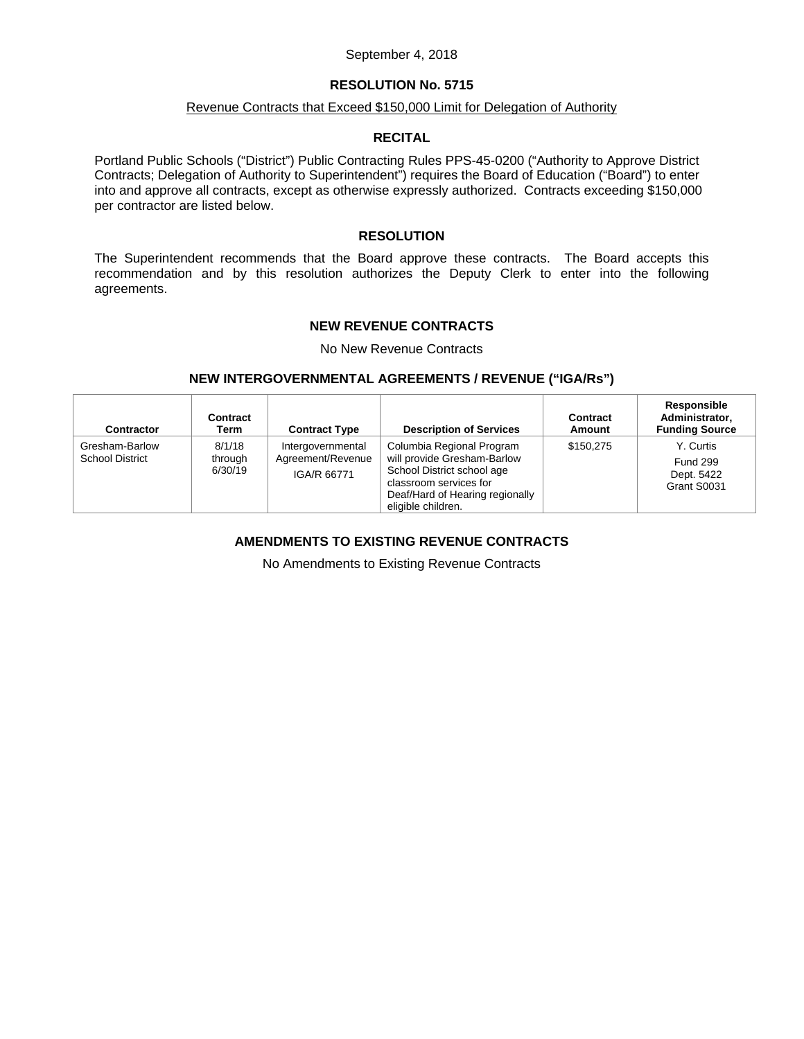#### September 4, 2018

### **RESOLUTION No. 5715**

### Revenue Contracts that Exceed \$150,000 Limit for Delegation of Authority

### **RECITAL**

Portland Public Schools ("District") Public Contracting Rules PPS-45-0200 ("Authority to Approve District Contracts; Delegation of Authority to Superintendent") requires the Board of Education ("Board") to enter into and approve all contracts, except as otherwise expressly authorized. Contracts exceeding \$150,000 per contractor are listed below.

#### **RESOLUTION**

The Superintendent recommends that the Board approve these contracts. The Board accepts this recommendation and by this resolution authorizes the Deputy Clerk to enter into the following agreements.

### **NEW REVENUE CONTRACTS**

No New Revenue Contracts

### **NEW INTERGOVERNMENTAL AGREEMENTS / REVENUE ("IGA/Rs")**

| <b>Contractor</b>                        | Contract<br>Term             | <b>Contract Type</b>                                  | <b>Description of Services</b>                                                                                                                                            | Contract<br>Amount | Responsible<br>Administrator,<br><b>Funding Source</b>    |
|------------------------------------------|------------------------------|-------------------------------------------------------|---------------------------------------------------------------------------------------------------------------------------------------------------------------------------|--------------------|-----------------------------------------------------------|
| Gresham-Barlow<br><b>School District</b> | 8/1/18<br>through<br>6/30/19 | Intergovernmental<br>Agreement/Revenue<br>IGA/R 66771 | Columbia Regional Program<br>will provide Gresham-Barlow<br>School District school age<br>classroom services for<br>Deaf/Hard of Hearing regionally<br>eligible children. | \$150.275          | Y. Curtis<br><b>Fund 299</b><br>Dept. 5422<br>Grant S0031 |

## **AMENDMENTS TO EXISTING REVENUE CONTRACTS**

No Amendments to Existing Revenue Contracts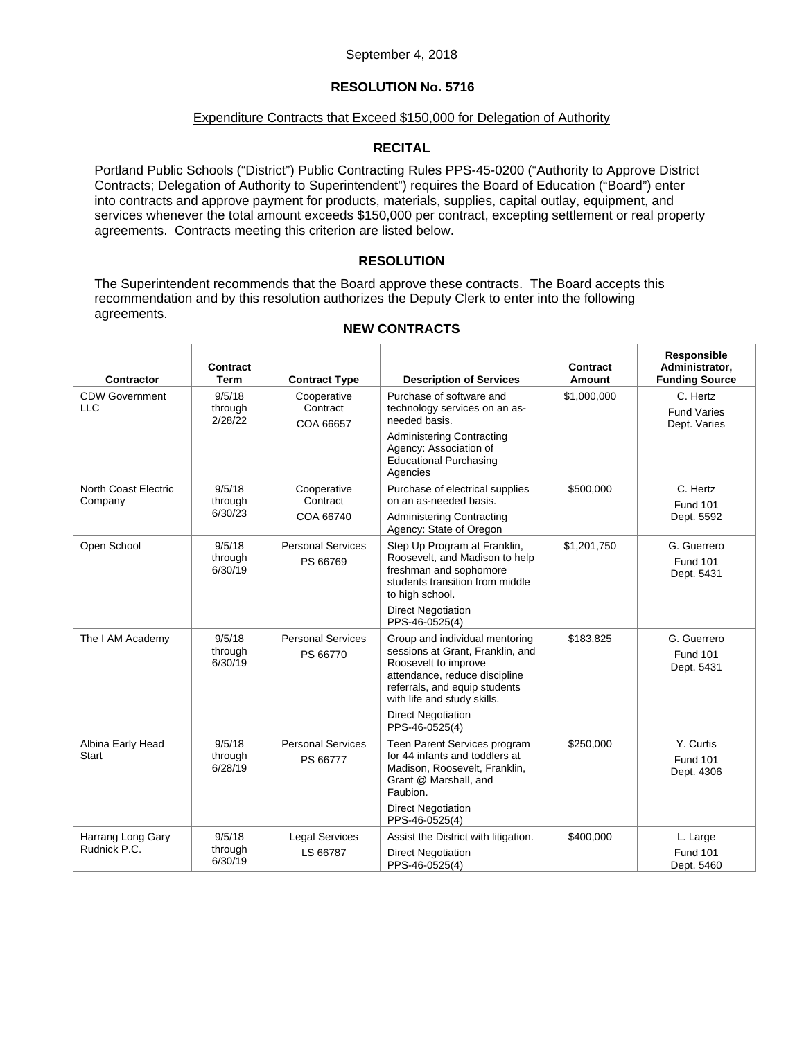### Expenditure Contracts that Exceed \$150,000 for Delegation of Authority

## **RECITAL**

Portland Public Schools ("District") Public Contracting Rules PPS-45-0200 ("Authority to Approve District Contracts; Delegation of Authority to Superintendent") requires the Board of Education ("Board") enter into contracts and approve payment for products, materials, supplies, capital outlay, equipment, and services whenever the total amount exceeds \$150,000 per contract, excepting settlement or real property agreements. Contracts meeting this criterion are listed below.

## **RESOLUTION**

The Superintendent recommends that the Board approve these contracts. The Board accepts this recommendation and by this resolution authorizes the Deputy Clerk to enter into the following agreements.

| Contractor                          | Contract<br><b>Term</b>      | <b>Contract Type</b>                 | <b>Description of Services</b>                                                                                                                                                              | Contract<br>Amount | Responsible<br>Administrator.<br><b>Funding Source</b> |
|-------------------------------------|------------------------------|--------------------------------------|---------------------------------------------------------------------------------------------------------------------------------------------------------------------------------------------|--------------------|--------------------------------------------------------|
| <b>CDW Government</b><br><b>LLC</b> | 9/5/18<br>through<br>2/28/22 | Cooperative<br>Contract<br>COA 66657 | Purchase of software and<br>technology services on an as-<br>needed basis.<br><b>Administering Contracting</b>                                                                              | \$1,000,000        | C. Hertz<br><b>Fund Varies</b><br>Dept. Varies         |
|                                     |                              |                                      | Agency: Association of<br><b>Educational Purchasing</b><br>Agencies                                                                                                                         |                    |                                                        |
| North Coast Electric<br>Company     | 9/5/18<br>through            | Cooperative<br>Contract              | Purchase of electrical supplies<br>on an as-needed basis.                                                                                                                                   | \$500,000          | C. Hertz<br><b>Fund 101</b>                            |
|                                     | 6/30/23                      | COA 66740                            | <b>Administering Contracting</b><br>Agency: State of Oregon                                                                                                                                 |                    | Dept. 5592                                             |
| Open School                         | 9/5/18<br>through<br>6/30/19 | <b>Personal Services</b><br>PS 66769 | Step Up Program at Franklin,<br>Roosevelt, and Madison to help<br>freshman and sophomore<br>students transition from middle<br>to high school.                                              | \$1,201,750        | G. Guerrero<br><b>Fund 101</b><br>Dept. 5431           |
|                                     |                              |                                      | <b>Direct Negotiation</b><br>PPS-46-0525(4)                                                                                                                                                 |                    |                                                        |
| The I AM Academy                    | 9/5/18<br>through<br>6/30/19 | <b>Personal Services</b><br>PS 66770 | Group and individual mentoring<br>sessions at Grant, Franklin, and<br>Roosevelt to improve<br>attendance, reduce discipline<br>referrals, and equip students<br>with life and study skills. | \$183,825          | G. Guerrero<br><b>Fund 101</b><br>Dept. 5431           |
|                                     |                              |                                      | <b>Direct Negotiation</b><br>PPS-46-0525(4)                                                                                                                                                 |                    |                                                        |
| Albina Early Head<br>Start          | 9/5/18<br>through<br>6/28/19 | <b>Personal Services</b><br>PS 66777 | Teen Parent Services program<br>for 44 infants and toddlers at<br>Madison, Roosevelt, Franklin,<br>Grant @ Marshall, and<br>Faubion.                                                        | \$250,000          | Y. Curtis<br><b>Fund 101</b><br>Dept. 4306             |
|                                     |                              |                                      | <b>Direct Negotiation</b><br>PPS-46-0525(4)                                                                                                                                                 |                    |                                                        |
| Harrang Long Gary<br>Rudnick P.C.   | 9/5/18                       | <b>Legal Services</b>                | Assist the District with litigation.                                                                                                                                                        | \$400,000          | L. Large                                               |
|                                     | through<br>6/30/19           | LS 66787                             | <b>Direct Negotiation</b><br>PPS-46-0525(4)                                                                                                                                                 |                    | <b>Fund 101</b><br>Dept. 5460                          |

### **NEW CONTRACTS**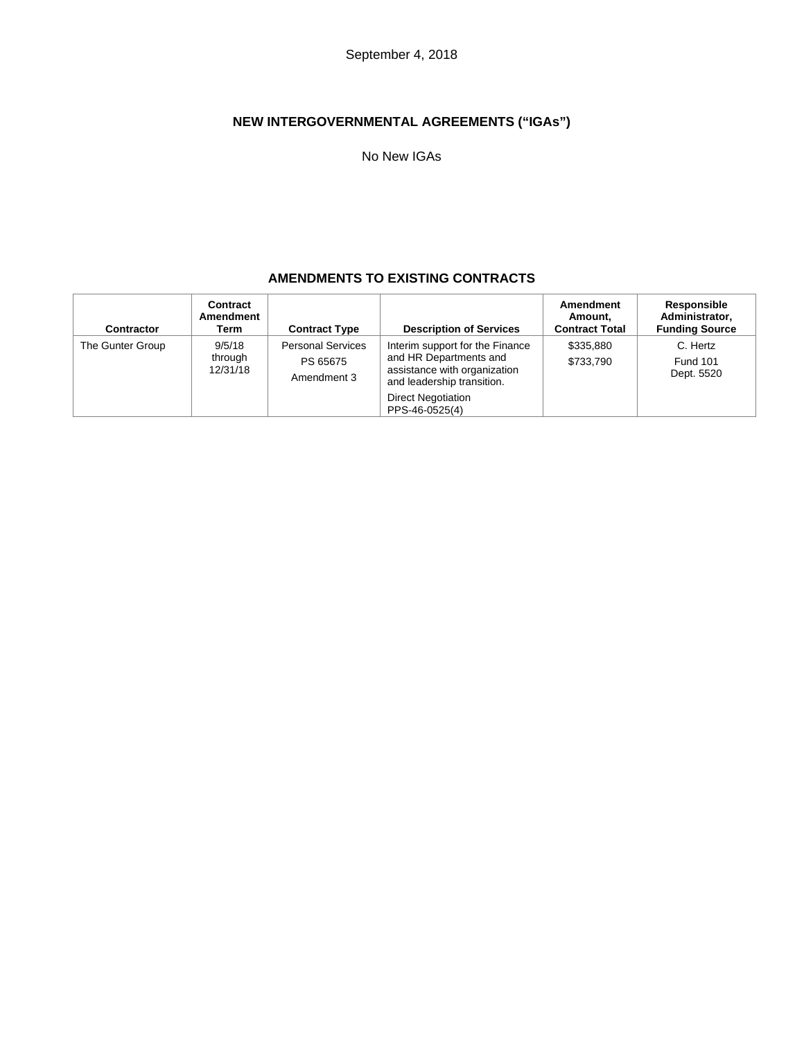# **NEW INTERGOVERNMENTAL AGREEMENTS ("IGAs")**

No New IGAs

## **AMENDMENTS TO EXISTING CONTRACTS**

| <b>Contractor</b> | Contract<br>Amendment<br>Term | <b>Contract Type</b>                                | <b>Description of Services</b>                                                                                          | Amendment<br>Amount.<br><b>Contract Total</b> | Responsible<br>Administrator.<br><b>Funding Source</b> |
|-------------------|-------------------------------|-----------------------------------------------------|-------------------------------------------------------------------------------------------------------------------------|-----------------------------------------------|--------------------------------------------------------|
| The Gunter Group  | 9/5/18<br>through<br>12/31/18 | <b>Personal Services</b><br>PS 65675<br>Amendment 3 | Interim support for the Finance<br>and HR Departments and<br>assistance with organization<br>and leadership transition. | \$335,880<br>\$733,790                        | C. Hertz<br><b>Fund 101</b><br>Dept. 5520              |
|                   |                               |                                                     | <b>Direct Negotiation</b><br>PPS-46-0525(4)                                                                             |                                               |                                                        |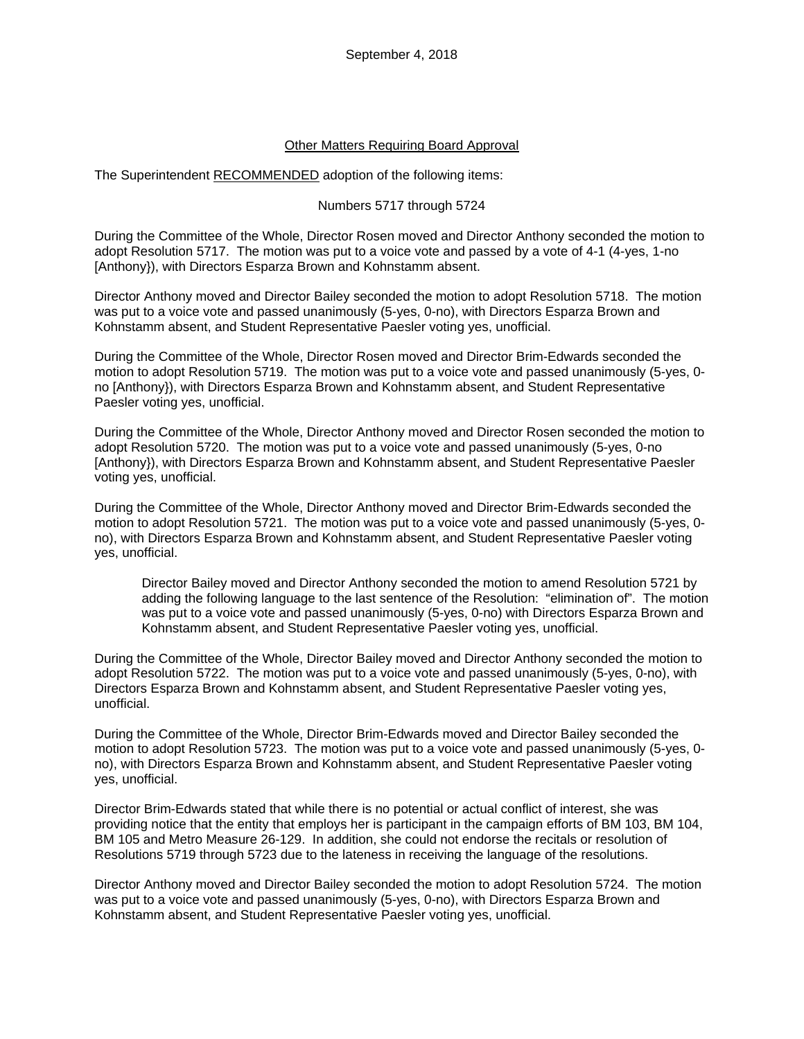## Other Matters Requiring Board Approval

The Superintendent RECOMMENDED adoption of the following items:

### Numbers 5717 through 5724

During the Committee of the Whole, Director Rosen moved and Director Anthony seconded the motion to adopt Resolution 5717. The motion was put to a voice vote and passed by a vote of 4-1 (4-yes, 1-no [Anthony}), with Directors Esparza Brown and Kohnstamm absent.

Director Anthony moved and Director Bailey seconded the motion to adopt Resolution 5718. The motion was put to a voice vote and passed unanimously (5-yes, 0-no), with Directors Esparza Brown and Kohnstamm absent, and Student Representative Paesler voting yes, unofficial.

During the Committee of the Whole, Director Rosen moved and Director Brim-Edwards seconded the motion to adopt Resolution 5719. The motion was put to a voice vote and passed unanimously (5-yes, 0 no [Anthony}), with Directors Esparza Brown and Kohnstamm absent, and Student Representative Paesler voting yes, unofficial.

During the Committee of the Whole, Director Anthony moved and Director Rosen seconded the motion to adopt Resolution 5720. The motion was put to a voice vote and passed unanimously (5-yes, 0-no [Anthony}), with Directors Esparza Brown and Kohnstamm absent, and Student Representative Paesler voting yes, unofficial.

During the Committee of the Whole, Director Anthony moved and Director Brim-Edwards seconded the motion to adopt Resolution 5721. The motion was put to a voice vote and passed unanimously (5-yes, 0 no), with Directors Esparza Brown and Kohnstamm absent, and Student Representative Paesler voting yes, unofficial.

Director Bailey moved and Director Anthony seconded the motion to amend Resolution 5721 by adding the following language to the last sentence of the Resolution: "elimination of". The motion was put to a voice vote and passed unanimously (5-yes, 0-no) with Directors Esparza Brown and Kohnstamm absent, and Student Representative Paesler voting yes, unofficial.

During the Committee of the Whole, Director Bailey moved and Director Anthony seconded the motion to adopt Resolution 5722. The motion was put to a voice vote and passed unanimously (5-yes, 0-no), with Directors Esparza Brown and Kohnstamm absent, and Student Representative Paesler voting yes, unofficial.

During the Committee of the Whole, Director Brim-Edwards moved and Director Bailey seconded the motion to adopt Resolution 5723. The motion was put to a voice vote and passed unanimously (5-yes, 0 no), with Directors Esparza Brown and Kohnstamm absent, and Student Representative Paesler voting yes, unofficial.

Director Brim-Edwards stated that while there is no potential or actual conflict of interest, she was providing notice that the entity that employs her is participant in the campaign efforts of BM 103, BM 104, BM 105 and Metro Measure 26-129. In addition, she could not endorse the recitals or resolution of Resolutions 5719 through 5723 due to the lateness in receiving the language of the resolutions.

Director Anthony moved and Director Bailey seconded the motion to adopt Resolution 5724. The motion was put to a voice vote and passed unanimously (5-yes, 0-no), with Directors Esparza Brown and Kohnstamm absent, and Student Representative Paesler voting yes, unofficial.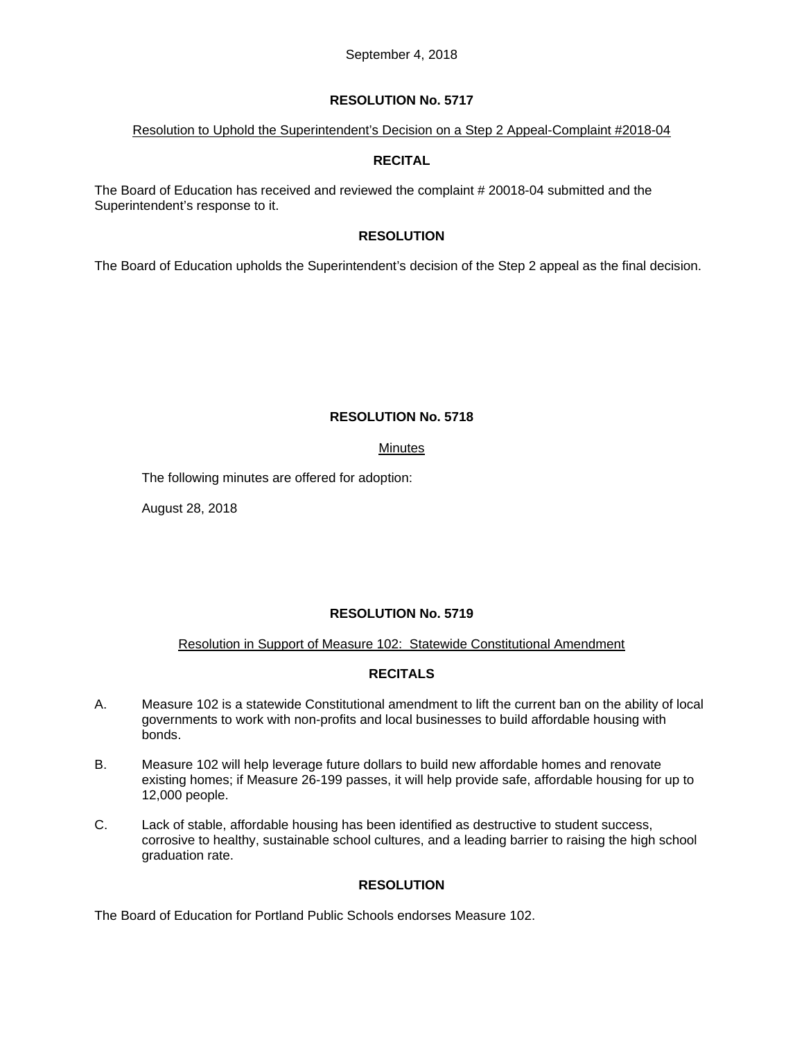### Resolution to Uphold the Superintendent's Decision on a Step 2 Appeal-Complaint #2018-04

## **RECITAL**

The Board of Education has received and reviewed the complaint # 20018-04 submitted and the Superintendent's response to it.

## **RESOLUTION**

The Board of Education upholds the Superintendent's decision of the Step 2 appeal as the final decision.

## **RESOLUTION No. 5718**

## Minutes

The following minutes are offered for adoption:

August 28, 2018

## **RESOLUTION No. 5719**

## Resolution in Support of Measure 102: Statewide Constitutional Amendment

## **RECITALS**

- A. Measure 102 is a statewide Constitutional amendment to lift the current ban on the ability of local governments to work with non-profits and local businesses to build affordable housing with bonds.
- B. Measure 102 will help leverage future dollars to build new affordable homes and renovate existing homes; if Measure 26-199 passes, it will help provide safe, affordable housing for up to 12,000 people.
- C. Lack of stable, affordable housing has been identified as destructive to student success, corrosive to healthy, sustainable school cultures, and a leading barrier to raising the high school graduation rate.

## **RESOLUTION**

The Board of Education for Portland Public Schools endorses Measure 102.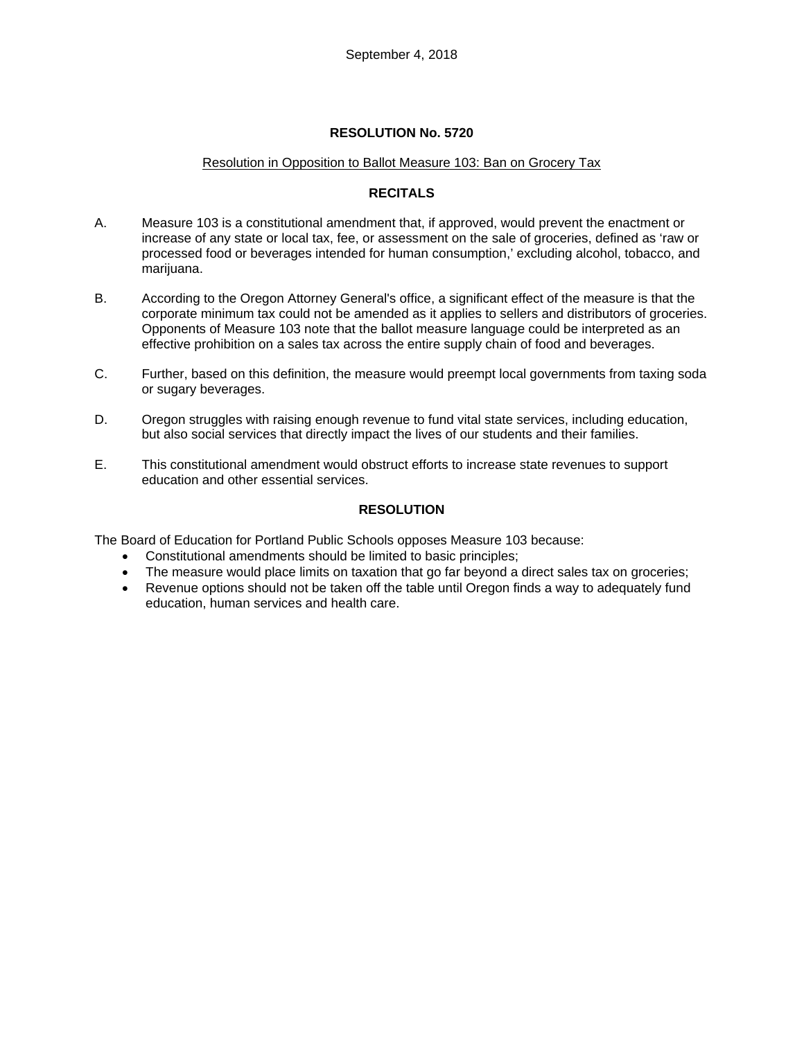### Resolution in Opposition to Ballot Measure 103: Ban on Grocery Tax

## **RECITALS**

- A. Measure 103 is a constitutional amendment that, if approved, would prevent the enactment or increase of any state or local tax, fee, or assessment on the sale of groceries, defined as 'raw or processed food or beverages intended for human consumption,' excluding alcohol, tobacco, and marijuana.
- B. According to the Oregon Attorney General's office, a significant effect of the measure is that the corporate minimum tax could not be amended as it applies to sellers and distributors of groceries. Opponents of Measure 103 note that the ballot measure language could be interpreted as an effective prohibition on a sales tax across the entire supply chain of food and beverages.
- C. Further, based on this definition, the measure would preempt local governments from taxing soda or sugary beverages.
- D. Oregon struggles with raising enough revenue to fund vital state services, including education, but also social services that directly impact the lives of our students and their families.
- E. This constitutional amendment would obstruct efforts to increase state revenues to support education and other essential services.

## **RESOLUTION**

The Board of Education for Portland Public Schools opposes Measure 103 because:

- Constitutional amendments should be limited to basic principles;
- The measure would place limits on taxation that go far beyond a direct sales tax on groceries;
- Revenue options should not be taken off the table until Oregon finds a way to adequately fund education, human services and health care.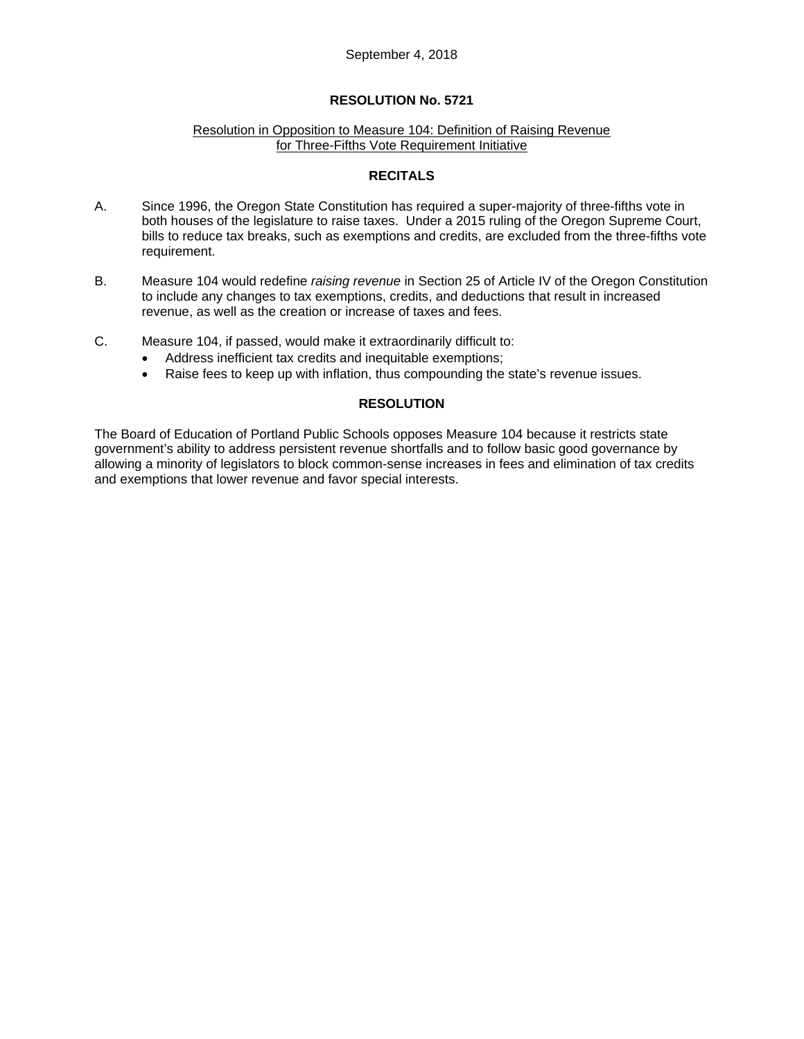### Resolution in Opposition to Measure 104: Definition of Raising Revenue for Three-Fifths Vote Requirement Initiative

### **RECITALS**

- A. Since 1996, the Oregon State Constitution has required a super-majority of three-fifths vote in both houses of the legislature to raise taxes. Under a 2015 ruling of the Oregon Supreme Court, bills to reduce tax breaks, such as exemptions and credits, are excluded from the three-fifths vote requirement.
- B. Measure 104 would redefine *raising revenue* in Section 25 of Article IV of the Oregon Constitution to include any changes to tax exemptions, credits, and deductions that result in increased revenue, as well as the creation or increase of taxes and fees.
- C. Measure 104, if passed, would make it extraordinarily difficult to:
	- Address inefficient tax credits and inequitable exemptions;
	- Raise fees to keep up with inflation, thus compounding the state's revenue issues.

## **RESOLUTION**

The Board of Education of Portland Public Schools opposes Measure 104 because it restricts state government's ability to address persistent revenue shortfalls and to follow basic good governance by allowing a minority of legislators to block common-sense increases in fees and elimination of tax credits and exemptions that lower revenue and favor special interests.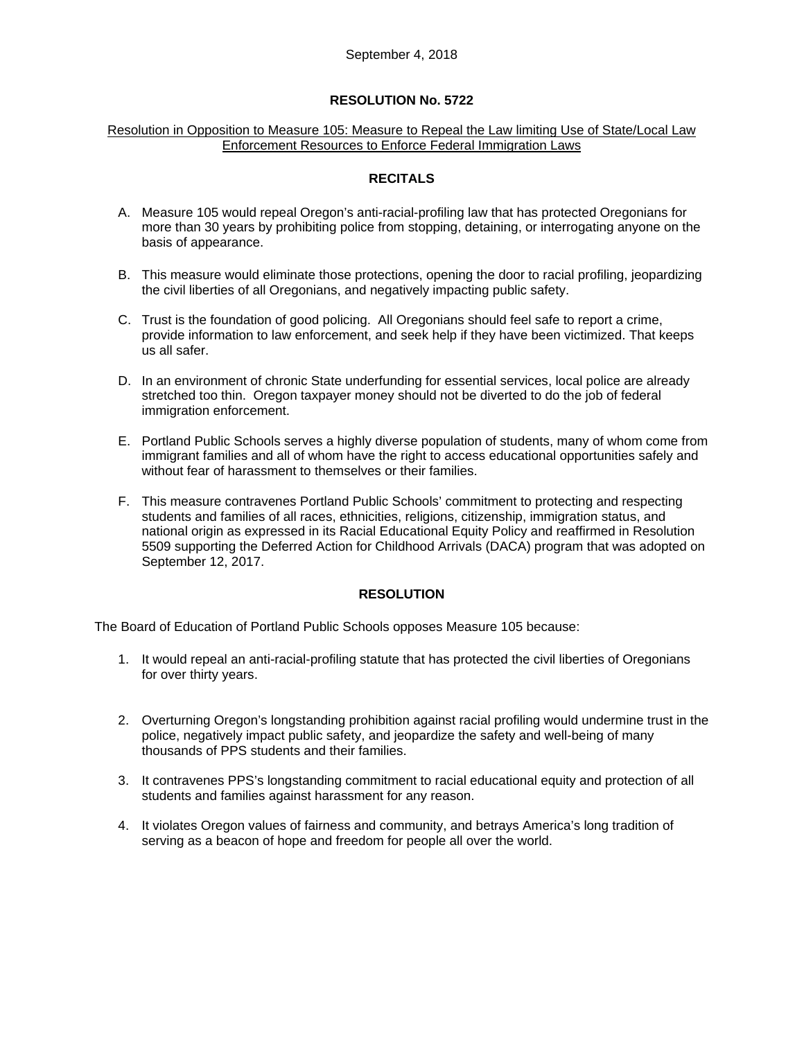#### Resolution in Opposition to Measure 105: Measure to Repeal the Law limiting Use of State/Local Law Enforcement Resources to Enforce Federal Immigration Laws

### **RECITALS**

- A. Measure 105 would repeal Oregon's anti-racial-profiling law that has protected Oregonians for more than 30 years by prohibiting police from stopping, detaining, or interrogating anyone on the basis of appearance.
- B. This measure would eliminate those protections, opening the door to racial profiling, jeopardizing the civil liberties of all Oregonians, and negatively impacting public safety.
- C. Trust is the foundation of good policing. All Oregonians should feel safe to report a crime, provide information to law enforcement, and seek help if they have been victimized. That keeps us all safer.
- D. In an environment of chronic State underfunding for essential services, local police are already stretched too thin. Oregon taxpayer money should not be diverted to do the job of federal immigration enforcement.
- E. Portland Public Schools serves a highly diverse population of students, many of whom come from immigrant families and all of whom have the right to access educational opportunities safely and without fear of harassment to themselves or their families.
- F. This measure contravenes Portland Public Schools' commitment to protecting and respecting students and families of all races, ethnicities, religions, citizenship, immigration status, and national origin as expressed in its Racial Educational Equity Policy and reaffirmed in Resolution 5509 supporting the Deferred Action for Childhood Arrivals (DACA) program that was adopted on September 12, 2017.

### **RESOLUTION**

The Board of Education of Portland Public Schools opposes Measure 105 because:

- 1. It would repeal an anti-racial-profiling statute that has protected the civil liberties of Oregonians for over thirty years.
- 2. Overturning Oregon's longstanding prohibition against racial profiling would undermine trust in the police, negatively impact public safety, and jeopardize the safety and well-being of many thousands of PPS students and their families.
- 3. It contravenes PPS's longstanding commitment to racial educational equity and protection of all students and families against harassment for any reason.
- 4. It violates Oregon values of fairness and community, and betrays America's long tradition of serving as a beacon of hope and freedom for people all over the world.